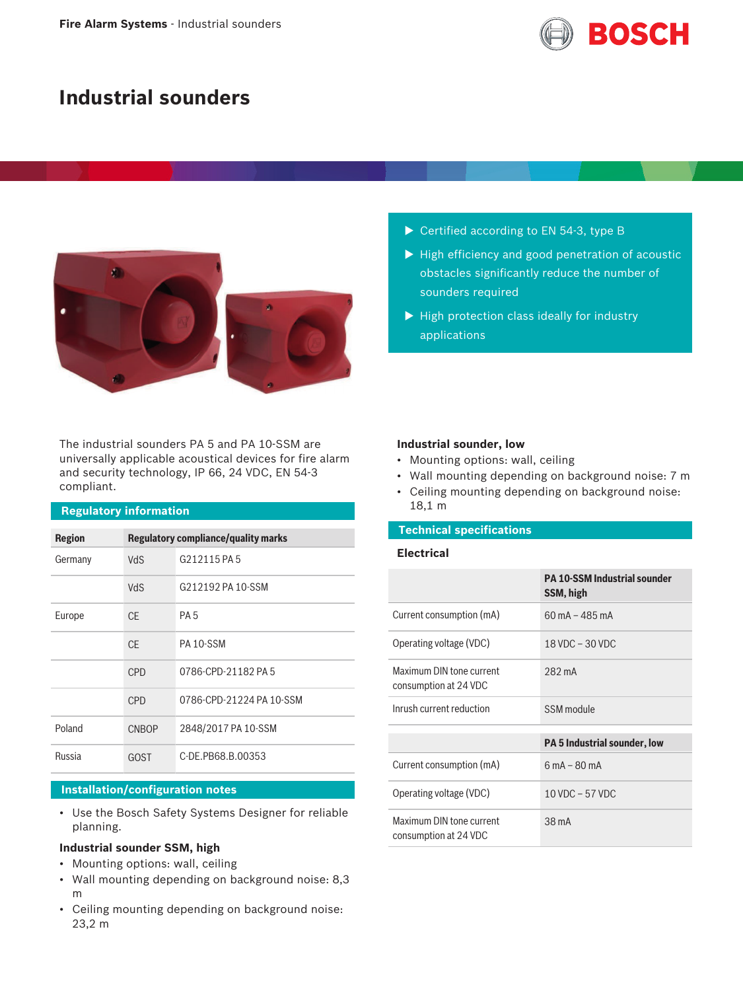

# **Industrial sounders**



The industrial sounders PA 5 and PA 10-SSM are universally applicable acoustical devices for fire alarm and security technology, IP 66, 24 VDC, EN 54-3 compliant.

# **Regulatory information**

| <b>Region</b> | <b>Regulatory compliance/quality marks</b> |                          |  |
|---------------|--------------------------------------------|--------------------------|--|
| Germany       | VdS                                        | G212115 PA 5             |  |
|               | VdS                                        | G212192 PA 10-SSM        |  |
| Europe        | CF.                                        | <b>PA5</b>               |  |
|               | CF.                                        | PA 10-SSM                |  |
|               | CPD                                        | 0786-CPD-21182 PA 5      |  |
|               | <b>CPD</b>                                 | 0786-CPD-21224 PA 10-SSM |  |
| Poland        | <b>CNBOP</b>                               | 2848/2017 PA 10-SSM      |  |
| Russia        | <b>GOST</b>                                | C-DE.PB68.B.00353        |  |

#### **Installation/configuration notes**

• Use the Bosch Safety Systems Designer for reliable planning.

#### **Industrial sounder SSM, high**

- Mounting options: wall, ceiling
- Wall mounting depending on background noise: 8,3 m
- Ceiling mounting depending on background noise: 23,2 m
- $\triangleright$  Certified according to EN 54-3, type B
- $\blacktriangleright$  High efficiency and good penetration of acoustic obstacles significantly reduce the number of sounders required
- $\blacktriangleright$  High protection class ideally for industry applications

#### **Industrial sounder, low**

- Mounting options: wall, ceiling
- Wall mounting depending on background noise: 7 m
- Ceiling mounting depending on background noise: 18,1 m

# **Technical specifications**

### **Electrical**

|                                                   | <b>PA 10-SSM Industrial sounder</b><br>SSM, high |  |
|---------------------------------------------------|--------------------------------------------------|--|
| Current consumption (mA)                          | $60 \text{ mA} - 485 \text{ mA}$                 |  |
| Operating voltage (VDC)                           | $18$ VDC $-$ 30 VDC                              |  |
| Maximum DIN tone current<br>consumption at 24 VDC | 282 mA                                           |  |
| Inrush current reduction                          | SSM module                                       |  |
|                                                   | <b>PA 5 Industrial sounder, low</b>              |  |
| Current consumption (mA)                          | $6 \text{ mA} - 80 \text{ mA}$                   |  |
| Operating voltage (VDC)                           | $10$ VDC $-57$ VDC                               |  |
| Maximum DIN tone current<br>consumption at 24 VDC | 38 mA                                            |  |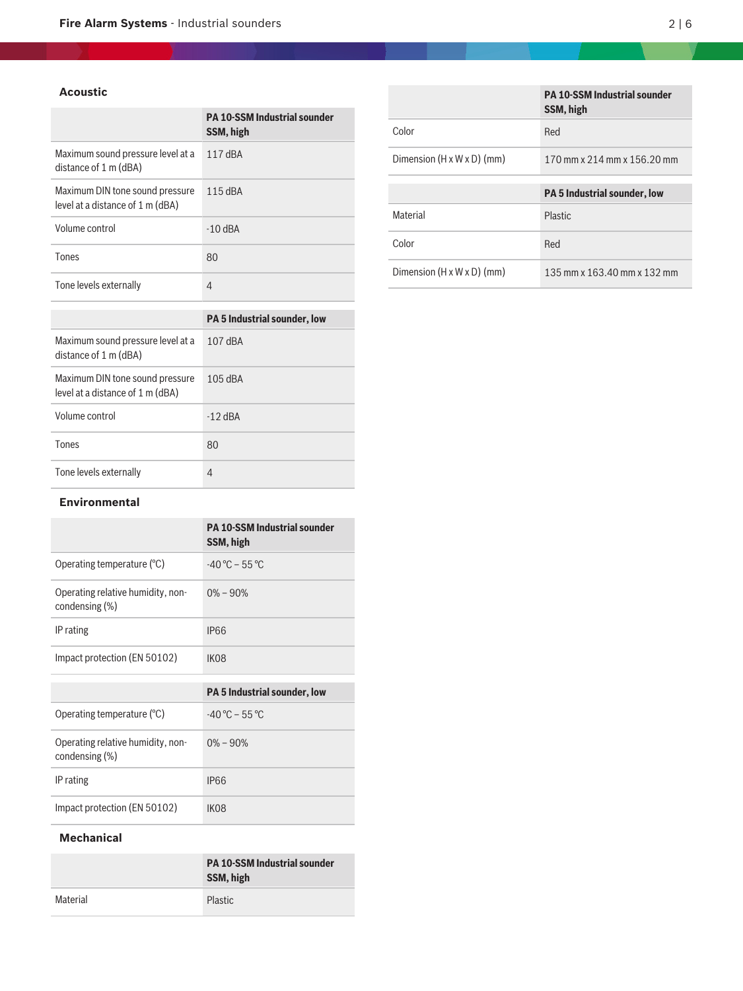# **Acoustic**

|                                                                     | <b>PA 10-SSM Industrial sounder</b><br>SSM, high |
|---------------------------------------------------------------------|--------------------------------------------------|
| Maximum sound pressure level at a<br>distance of 1 m (dBA)          | 117 dBA                                          |
| Maximum DIN tone sound pressure<br>level at a distance of 1 m (dBA) | $115$ dBA                                        |
| Volume control                                                      | $-10$ dBA                                        |
| Tones                                                               | 80                                               |
| Tone levels externally                                              | 4                                                |
|                                                                     |                                                  |

|                                                                     | <b>PA 5 Industrial sounder, low</b> |  |  |
|---------------------------------------------------------------------|-------------------------------------|--|--|
| Maximum sound pressure level at a<br>distance of 1 m (dBA)          | 107 dBA                             |  |  |
| Maximum DIN tone sound pressure<br>level at a distance of 1 m (dBA) | $105$ dBA                           |  |  |
| Volume control                                                      | $-12$ dBA                           |  |  |
| Tones                                                               | 80                                  |  |  |
| Tone levels externally                                              | 4                                   |  |  |

#### **Environmental**

|                                                     | <b>PA 10-SSM Industrial sounder</b><br>SSM, high |
|-----------------------------------------------------|--------------------------------------------------|
| Operating temperature (°C)                          | $-40^{\circ}$ C – 55 °C                          |
| Operating relative humidity, non-<br>condensing (%) | $0\% - 90\%$                                     |
| IP rating                                           | <b>IP66</b>                                      |
| Impact protection (EN 50102)                        | IK <sub>08</sub>                                 |
|                                                     |                                                  |
|                                                     | <b>PA 5 Industrial sounder, low</b>              |
| Operating temperature $(°C)$                        | $-40^{\circ}$ C – 55 °C                          |
| Operating relative humidity, non-<br>condensing (%) | $0\% - 90\%$                                     |
|                                                     |                                                  |
| IP rating                                           | IP66                                             |

# **Mechanical**

|          | <b>PA 10-SSM Industrial sounder</b><br>SSM, high |
|----------|--------------------------------------------------|
| Material | <b>Plastic</b>                                   |

|                                        | <b>PA 10-SSM Industrial sounder</b><br>SSM, high |  |
|----------------------------------------|--------------------------------------------------|--|
| Color                                  | Red                                              |  |
| Dimension $(H \times W \times D)$ (mm) | 170 mm x 214 mm x 156.20 mm                      |  |
|                                        | <b>PA 5 Industrial sounder, low</b>              |  |
|                                        |                                                  |  |
|                                        |                                                  |  |
| Material                               | Plastic.                                         |  |
| Color                                  | Red                                              |  |

the control of the control of the control of the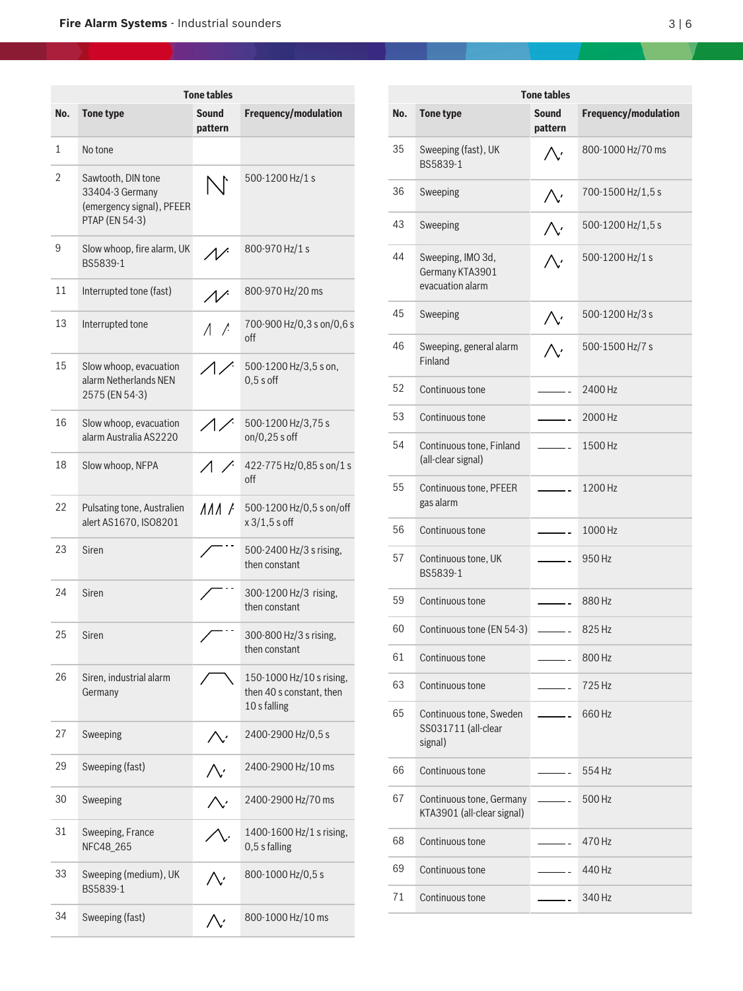|     | <b>Tone tables</b>                                                                          |                           |                                                                      |  |  |
|-----|---------------------------------------------------------------------------------------------|---------------------------|----------------------------------------------------------------------|--|--|
| No. | <b>Tone type</b>                                                                            | <b>Sound</b><br>pattern   | Frequency/modulation                                                 |  |  |
| 1   | No tone                                                                                     |                           |                                                                      |  |  |
| 2   | Sawtooth, DIN tone<br>33404-3 Germany<br>(emergency signal), PFEER<br><b>PTAP (EN 54-3)</b> | $\sum$                    | 500-1200 Hz/1 s                                                      |  |  |
| 9   | Slow whoop, fire alarm, UK<br>BS5839-1                                                      |                           | 800-970 Hz/1 s                                                       |  |  |
| 11  | Interrupted tone (fast)                                                                     |                           | 800-970 Hz/20 ms                                                     |  |  |
| 13  | Interrupted tone                                                                            | $\wedge$ /                | 700-900 Hz/0,3 s on/0,6 s<br>off                                     |  |  |
| 15  | Slow whoop, evacuation<br>alarm Netherlands NEN<br>2575 (EN 54-3)                           |                           | 500-1200 Hz/3,5 s on,<br>$0,5s$ off                                  |  |  |
| 16  | Slow whoop, evacuation<br>alarm Australia AS2220                                            | $\triangle$               | 500-1200 Hz/3,75 s<br>$on/0,25s$ off                                 |  |  |
| 18  | Slow whoop, NFPA                                                                            |                           | 422-775 Hz/0,85 s on/1 s<br>off                                      |  |  |
| 22  | Pulsating tone, Australien<br>alert AS1670, ISO8201                                         | $\Lambda\Lambda\Lambda$ / | 500-1200 Hz/0,5 s on/off<br>$x 3/1, 5 s$ off                         |  |  |
| 23  | Siren                                                                                       |                           | 500-2400 Hz/3 s rising,<br>then constant                             |  |  |
| 24  | Siren                                                                                       |                           | 300-1200 Hz/3 rising,<br>then constant                               |  |  |
| 25  | Siren                                                                                       |                           | 300-800 Hz/3 s rising,<br>then constant                              |  |  |
| 26  | Siren, industrial alarm<br>Germany                                                          |                           | 150-1000 Hz/10 s rising,<br>then 40 s constant, then<br>10 s falling |  |  |
| 27  | Sweeping                                                                                    |                           | 2400-2900 Hz/0,5 s                                                   |  |  |
| 29  | Sweeping (fast)                                                                             |                           | 2400-2900 Hz/10 ms                                                   |  |  |
| 30  | Sweeping                                                                                    |                           | 2400-2900 Hz/70 ms                                                   |  |  |
| 31  | Sweeping, France<br>NFC48 265                                                               |                           | 1400-1600 Hz/1 s rising,<br>0,5 s falling                            |  |  |
| 33  | Sweeping (medium), UK<br>BS5839-1                                                           |                           | 800-1000 Hz/0,5 s                                                    |  |  |
| 34  | Sweeping (fast)                                                                             |                           | 800-1000 Hz/10 ms                                                    |  |  |

|     | <b>Tone tables</b>                                        |                          |                      |  |  |
|-----|-----------------------------------------------------------|--------------------------|----------------------|--|--|
| No. | <b>Tone type</b>                                          | Sound<br>pattern         | Frequency/modulation |  |  |
| 35  | Sweeping (fast), UK<br>BS5839-1                           |                          | 800-1000 Hz/70 ms    |  |  |
| 36  | Sweeping                                                  |                          | 700-1500 Hz/1,5 s    |  |  |
| 43  | Sweeping                                                  |                          | 500-1200 Hz/1,5 s    |  |  |
| 44  | Sweeping, IMO 3d,<br>Germany KTA3901<br>evacuation alarm  |                          | 500-1200 Hz/1 s      |  |  |
| 45  | Sweeping                                                  |                          | 500-1200 Hz/3 s      |  |  |
| 46  | Sweeping, general alarm<br>Finland                        |                          | 500-1500 Hz/7 s      |  |  |
| 52  | Continuous tone                                           |                          | 2400 Hz              |  |  |
| 53  | Continuous tone                                           | $\overline{a}$           | 2000 Hz              |  |  |
| 54  | Continuous tone, Finland<br>(all-clear signal)            | $\frac{1}{2}$            | 1500 Hz              |  |  |
| 55  | Continuous tone, PFEER<br>gas alarm                       |                          | 1200 Hz              |  |  |
| 56  | Continuous tone                                           |                          | 1000 Hz              |  |  |
| 57  | Continuous tone, UK<br>BS5839-1                           |                          | 950 Hz               |  |  |
| 59  | Continuous tone                                           | $\sim$ $-$               | 880 Hz               |  |  |
| 60  | Continuous tone (EN 54-3)                                 |                          | 825 Hz               |  |  |
| 61  | Continuous tone                                           |                          | 800 Hz               |  |  |
| 63  | Continuous tone                                           |                          | 725 Hz               |  |  |
| 65  | Continuous tone, Sweden<br>SS031711 (all-clear<br>signal) | $\overline{\phantom{a}}$ | 660 Hz               |  |  |
| 66  | Continuous tone                                           |                          | 554 Hz               |  |  |
| 67  | Continuous tone, Germany<br>KTA3901 (all-clear signal)    | $\overline{\phantom{a}}$ | 500 Hz               |  |  |
| 68  | Continuous tone                                           |                          | 470 Hz               |  |  |
| 69  | Continuous tone                                           |                          | 440 Hz               |  |  |
| 71  | Continuous tone                                           |                          | 340 Hz               |  |  |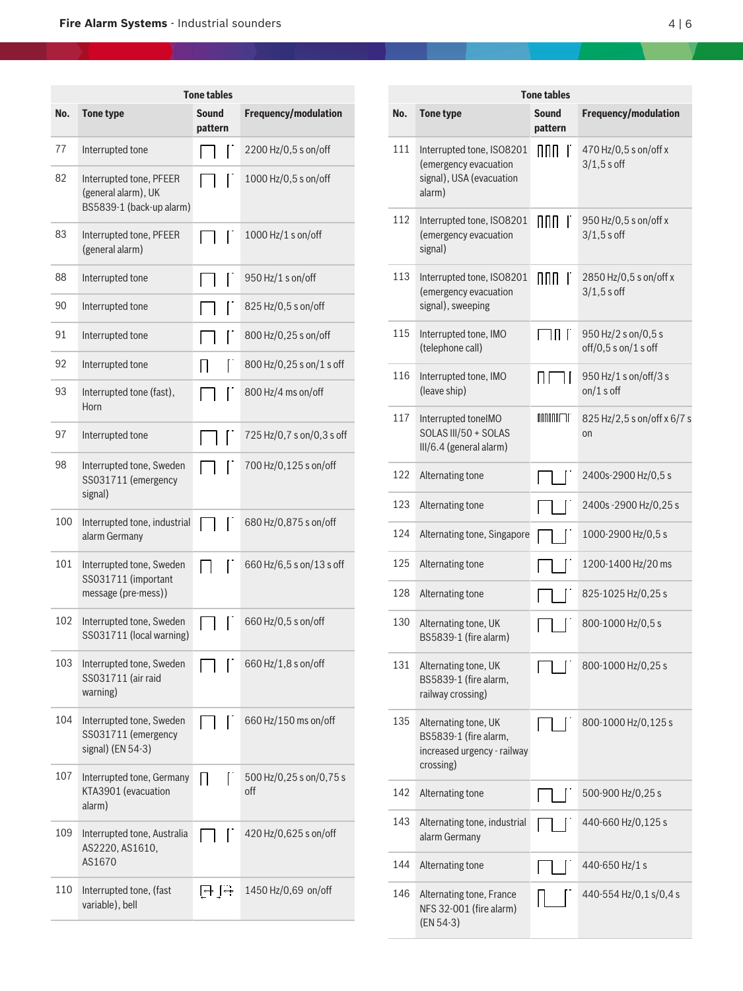| <b>Tone tables</b> |                                                                            |                         |              |                                |
|--------------------|----------------------------------------------------------------------------|-------------------------|--------------|--------------------------------|
| No.                | <b>Tone type</b>                                                           | <b>Sound</b><br>pattern |              | Frequency/modulation           |
| 77                 | Interrupted tone                                                           |                         | Ë            | 2200 Hz/0,5 s on/off           |
| 82                 | Interrupted tone, PFEER<br>(general alarm), UK<br>BS5839-1 (back-up alarm) |                         |              | 1000 Hz/0,5 s on/off           |
| 83                 | Interrupted tone, PFEER<br>(general alarm)                                 |                         | Г            | 1000 Hz/1 s on/off             |
| 88                 | Interrupted tone                                                           | I                       | Ľ            | 950 Hz/1 s on/off              |
| 90                 | Interrupted tone                                                           |                         | Г            | 825 Hz/0,5 s on/off            |
| 91                 | Interrupted tone                                                           |                         |              | 800 Hz/0,25 s on/off           |
| 92                 | Interrupted tone                                                           | Н                       | Ľ            | 800 Hz/0,25 s on/1 s off       |
| 93                 | Interrupted tone (fast),<br>Horn                                           |                         |              | 800 Hz/4 ms on/off             |
| 97                 | Interrupted tone                                                           |                         |              | 725 Hz/0,7 s on/0,3 s off      |
| 98                 | Interrupted tone, Sweden<br>SS031711 (emergency<br>signal)                 |                         |              | 700 Hz/0,125 s on/off          |
| 100                | Interrupted tone, industrial<br>alarm Germany                              |                         |              | 680 Hz/0,875 s on/off          |
| 101                | Interrupted tone, Sweden<br>SS031711 (important<br>message (pre-mess))     |                         | Г            | 660 Hz/6,5 s on/13 s off       |
| 102                | Interrupted tone, Sweden<br>SS031711 (local warning)                       |                         |              | 660 Hz/0,5 s on/off            |
| 103                | Interrupted tone, Sweden<br>SS031711 (air raid<br>warning)                 |                         |              | 660 Hz/1,8 s on/off            |
| 104                | Interrupted tone, Sweden<br>SS031711 (emergency<br>signal) (EN 54-3)       |                         | L            | 660 Hz/150 ms on/off           |
| 107                | Interrupted tone, Germany<br>KTA3901 (evacuation<br>alarm)                 | Н                       | $\mathbf{r}$ | 500 Hz/0,25 s on/0,75 s<br>off |
| 109                | Interrupted tone, Australia<br>AS2220, AS1610,<br>AS1670                   |                         |              | 420 Hz/0,625 s on/off          |
| 110                | Interrupted tone, (fast<br>variable), bell                                 | सि सि                   |              | 1450 Hz/0,69 on/off            |

|     | <b>Tone tables</b>                                                                        |                  |                                             |  |  |
|-----|-------------------------------------------------------------------------------------------|------------------|---------------------------------------------|--|--|
| No. | <b>Tone type</b>                                                                          | Sound<br>pattern | <b>Frequency/modulation</b>                 |  |  |
| 111 | Interrupted tone, ISO8201<br>(emergency evacuation<br>signal), USA (evacuation<br>alarm)  | nnn<br>$\Gamma$  | 470 Hz/0,5 s on/off x<br>$3/1,5$ s off      |  |  |
| 112 | Interrupted tone, ISO8201<br>(emergency evacuation<br>signal)                             | nnn r            | 950 Hz/0,5 s on/off x<br>$3/1,5$ s off      |  |  |
| 113 | Interrupted tone, ISO8201<br>(emergency evacuation<br>signal), sweeping                   | nnn<br>$\Gamma$  | 2850 Hz/0,5 s on/off x<br>$3/1,5$ s off     |  |  |
| 115 | Interrupted tone, IMO<br>(telephone call)                                                 | ו חו<br>Г        | 950 Hz/2 s on/0,5 s<br>off/0,5 s on/1 s off |  |  |
| 116 | Interrupted tone, IMO<br>(leave ship)                                                     | $\mathsf{H}$     | 950 Hz/1 s on/off/3 s<br>on/1 s off         |  |  |
| 117 | Interrupted toneIMO<br>SOLAS III/50 + SOLAS<br>III/6.4 (general alarm)                    | UUUUULLI.        | 825 Hz/2,5 s on/off x 6/7 s<br>on           |  |  |
| 122 | Alternating tone                                                                          |                  | 2400s-2900 Hz/0,5 s                         |  |  |
| 123 | Alternating tone                                                                          |                  | 2400s - 2900 Hz/0,25 s                      |  |  |
| 124 | Alternating tone, Singapore                                                               |                  | 1000-2900 Hz/0,5 s                          |  |  |
| 125 | Alternating tone                                                                          | I                | 1200-1400 Hz/20 ms                          |  |  |
| 128 | Alternating tone                                                                          | I                | 825-1025 Hz/0,25 s                          |  |  |
| 130 | Alternating tone, UK<br>BS5839-1 (fire alarm)                                             |                  | 800-1000 Hz/0,5 s                           |  |  |
| 131 | Alternating tone, UK<br>BS5839-1 (fire alarm,<br>railway crossing)                        |                  | 800-1000 Hz/0,25 s                          |  |  |
| 135 | Alternating tone, UK<br>BS5839-1 (fire alarm,<br>increased urgency - railway<br>crossing) |                  | 800-1000 Hz/0,125 s                         |  |  |
| 142 | Alternating tone                                                                          |                  | 500-900 Hz/0,25 s                           |  |  |
| 143 | Alternating tone, industrial<br>alarm Germany                                             |                  | 440-660 Hz/0,125 s                          |  |  |
| 144 | Alternating tone                                                                          |                  | 440-650 Hz/1 s                              |  |  |
| 146 | Alternating tone, France<br>NFS 32-001 (fire alarm)<br>(EN 54-3)                          |                  | 440-554 Hz/0,1 s/0,4 s                      |  |  |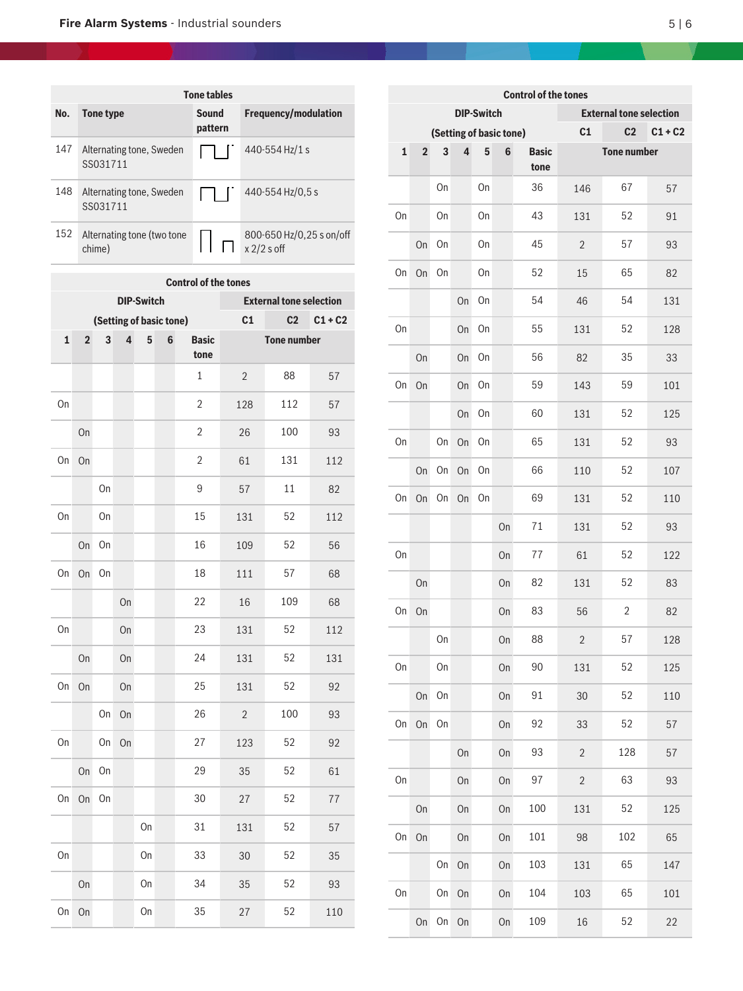| <b>Tone tables</b> |     |                                      |                  |                                           |
|--------------------|-----|--------------------------------------|------------------|-------------------------------------------|
|                    | No. | Tone type                            | Sound<br>pattern | <b>Frequency/modulation</b>               |
|                    | 147 | Alternating tone, Sweden<br>SS031711 |                  | 440-554 Hz/1 s                            |
|                    | 148 | Alternating tone, Sweden<br>SS031711 |                  | 440-554 Hz/0,5 s                          |
|                    | 152 | Alternating tone (two tone<br>chime) |                  | 800-650 Hz/0,25 s on/off<br>$x$ 2/2 s off |

| <b>Control of the tones</b> |                                                                                  |    |                         |                   |                                |                |                    |     |     |  |
|-----------------------------|----------------------------------------------------------------------------------|----|-------------------------|-------------------|--------------------------------|----------------|--------------------|-----|-----|--|
|                             |                                                                                  |    |                         | <b>DIP-Switch</b> | <b>External tone selection</b> |                |                    |     |     |  |
|                             |                                                                                  |    | (Setting of basic tone) |                   | C <sub>1</sub>                 | C <sub>2</sub> | $C1 + C2$          |     |     |  |
|                             | $\mathbf{1}$<br>$\overline{2}$<br>3<br>4<br>5<br>$\bf 6$<br><b>Basic</b><br>tone |    |                         |                   |                                |                | <b>Tone number</b> |     |     |  |
|                             |                                                                                  |    |                         |                   |                                | $\mathbf 1$    | $\overline{2}$     | 88  | 57  |  |
| On                          |                                                                                  |    |                         |                   |                                | $\overline{2}$ | 128                | 112 | 57  |  |
|                             | On                                                                               |    |                         |                   |                                | 2              | 26                 | 100 | 93  |  |
| On                          | On                                                                               |    |                         |                   |                                | 2              | 61                 | 131 | 112 |  |
|                             |                                                                                  | On |                         |                   |                                | 9              | 57                 | 11  | 82  |  |
| On                          |                                                                                  | On |                         |                   |                                | 15             | 131                | 52  | 112 |  |
|                             | On                                                                               | On |                         |                   |                                | 16             | 109                | 52  | 56  |  |
| On                          | On                                                                               | On |                         |                   |                                | 18             | 111                | 57  | 68  |  |
|                             |                                                                                  |    | On                      |                   |                                | 22             | 16                 | 109 | 68  |  |
| On                          |                                                                                  |    | On                      |                   |                                | 23             | 131                | 52  | 112 |  |
|                             | On                                                                               |    | On                      |                   |                                | 24             | 131                | 52  | 131 |  |
| On                          | On                                                                               |    | On                      |                   |                                | 25             | 131                | 52  | 92  |  |
|                             |                                                                                  | On | On                      |                   |                                | 26             | $\overline{2}$     | 100 | 93  |  |
| On                          |                                                                                  | On | On                      |                   |                                | 27             | 123                | 52  | 92  |  |
|                             | On                                                                               | On |                         |                   |                                | 29             | 35                 | 52  | 61  |  |
| On                          | On                                                                               | On |                         |                   |                                | 30             | 27                 | 52  | 77  |  |
|                             |                                                                                  |    |                         | On                |                                | 31             | 131                | 52  | 57  |  |
| On                          |                                                                                  |    |                         | On                |                                | 33             | 30                 | 52  | 35  |  |
|                             | On                                                                               |    |                         | On                |                                | 34             | 35                 | 52  | 93  |  |
| On                          | On                                                                               |    |                         | On                |                                | 35             | 27                 | 52  | 110 |  |

| <b>Control of the tones</b> |                         |    |                         |                   |                                |                      |                |                    |           |  |
|-----------------------------|-------------------------|----|-------------------------|-------------------|--------------------------------|----------------------|----------------|--------------------|-----------|--|
|                             |                         |    |                         | <b>DIP-Switch</b> | <b>External tone selection</b> |                      |                |                    |           |  |
|                             | (Setting of basic tone) |    |                         |                   |                                |                      |                | C <sub>2</sub>     | $C1 + C2$ |  |
| $\mathbf{1}$                | $\overline{\mathbf{2}}$ | 3  | $\overline{\mathbf{4}}$ | 5                 | 6                              | <b>Basic</b><br>tone |                | <b>Tone number</b> |           |  |
|                             |                         | On |                         | On                |                                | 36                   | 146            | 67                 | 57        |  |
| On                          |                         | On |                         | On                |                                | 43                   | 131            | 52                 | 91        |  |
|                             | On                      | On |                         | On                |                                | 45                   | $\overline{2}$ | 57                 | 93        |  |
| On                          | On                      | On |                         | On                |                                | 52                   | 15             | 65                 | 82        |  |
|                             |                         |    | On                      | On                |                                | 54                   | 46             | 54                 | 131       |  |
| On                          |                         |    | On                      | On                |                                | 55                   | 131            | 52                 | 128       |  |
|                             | On                      |    | On                      | On                |                                | 56                   | 82             | 35                 | 33        |  |
| On                          | On                      |    | On                      | On                |                                | 59                   | 143            | 59                 | 101       |  |
|                             |                         |    | On                      | On                |                                | 60                   | 131            | 52                 | 125       |  |
| On                          |                         | On | On                      | On                |                                | 65                   | 131            | 52                 | 93        |  |
|                             | On                      | On | On                      | On                |                                | 66                   | 110            | 52                 | 107       |  |
| On                          | On                      | On | On                      | On                |                                | 69                   | 131            | 52                 | 110       |  |
|                             |                         |    |                         |                   | On                             | 71                   | 131            | 52                 | 93        |  |
| On                          |                         |    |                         |                   | On                             | 77                   | 61             | 52                 | 122       |  |
|                             | On                      |    |                         |                   | On                             | 82                   | 131            | 52                 | 83        |  |
| On                          | On                      |    |                         |                   | On                             | 83                   | 56             | 2                  | 82        |  |
|                             |                         | On |                         |                   | On                             | 88                   | $\sqrt{2}$     | 57                 | 128       |  |
| On                          |                         | On |                         |                   | On                             | 90                   | 131            | 52                 | 125       |  |
|                             | On                      | On |                         |                   | On                             | 91                   | 30             | 52                 | 110       |  |
| On                          | On                      | On |                         |                   | On                             | 92                   | 33             | 52                 | 57        |  |
|                             |                         |    | On                      |                   | On                             | 93                   | $\overline{2}$ | 128                | 57        |  |
| On                          |                         |    | On                      |                   | On                             | 97                   | $\overline{c}$ | 63                 | 93        |  |
|                             | On                      |    | On                      |                   | On                             | 100                  | 131            | 52                 | 125       |  |
| On                          | On                      |    | On                      |                   | On                             | 101                  | 98             | 102                | 65        |  |
|                             |                         | On | On                      |                   | On                             | 103                  | 131            | 65                 | 147       |  |
| On                          |                         | On | On                      |                   | On                             | 104                  | 103            | 65                 | 101       |  |
|                             | On                      | On | On                      |                   | On                             | 109                  | 16             | 52                 | 22        |  |

х